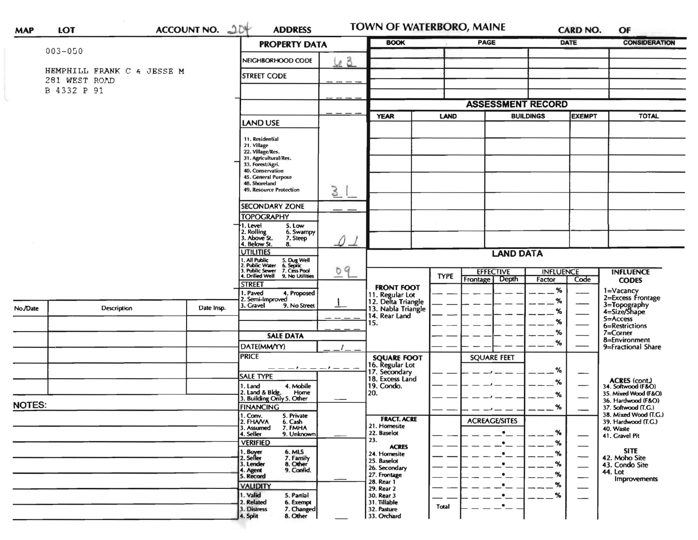| <b>MAP</b>    | LOT                                         |  | ACCOUNT NO. JUY | <b>ADDRESS</b>                                                                                                                        |                                | TOWN OF WATERBORO, MAINE                                    |                         |                           | <b>CARD NO.</b>  | OF                                           |  |
|---------------|---------------------------------------------|--|-----------------|---------------------------------------------------------------------------------------------------------------------------------------|--------------------------------|-------------------------------------------------------------|-------------------------|---------------------------|------------------|----------------------------------------------|--|
|               |                                             |  |                 | <b>PROPERTY DATA</b>                                                                                                                  |                                | <b>BOOK</b>                                                 |                         | <b>PAGE</b>               | DATE             | <b>CONSIDERATION</b>                         |  |
|               | $003 - 050$                                 |  |                 | NEIGHBORHOOD CODE                                                                                                                     | 63                             |                                                             |                         |                           |                  |                                              |  |
|               | HEMPHILL FRANK C & JESSE M<br>281 WEST ROAD |  |                 | <b>STREET CODE</b>                                                                                                                    |                                |                                                             |                         |                           |                  |                                              |  |
|               | B 4332 P 91                                 |  |                 |                                                                                                                                       |                                |                                                             |                         |                           |                  |                                              |  |
|               |                                             |  |                 |                                                                                                                                       |                                | <b>ASSESSMENT RECORD</b>                                    |                         |                           |                  |                                              |  |
|               |                                             |  |                 |                                                                                                                                       |                                | <b>YEAR</b>                                                 | LAND                    | <b>BUILDINGS</b>          |                  | <b>EXEMPT</b><br><b>TOTAL</b>                |  |
|               |                                             |  |                 | <b>LAND USE</b>                                                                                                                       |                                |                                                             |                         |                           |                  |                                              |  |
|               |                                             |  |                 | 11. Residential                                                                                                                       |                                |                                                             |                         |                           |                  |                                              |  |
|               |                                             |  |                 | 21. Village<br>22. Village/Res.                                                                                                       |                                |                                                             |                         |                           |                  |                                              |  |
|               |                                             |  |                 | 31. Agricultural/Res.<br>33. Forest/Agri.                                                                                             |                                |                                                             |                         |                           |                  |                                              |  |
|               |                                             |  |                 | 40. Conservation<br>45. General Purpose                                                                                               |                                |                                                             |                         |                           |                  |                                              |  |
|               |                                             |  |                 | 48. Shoreland                                                                                                                         |                                |                                                             |                         |                           |                  |                                              |  |
|               |                                             |  |                 | 49. Resource Protection                                                                                                               | 3                              |                                                             |                         |                           |                  |                                              |  |
|               |                                             |  |                 | <b>SECONDARY ZONE</b>                                                                                                                 |                                |                                                             |                         |                           |                  |                                              |  |
|               |                                             |  |                 | <b>TOPOGRAPHY</b>                                                                                                                     |                                |                                                             |                         |                           |                  |                                              |  |
|               |                                             |  |                 | 1. Level<br>5. Low<br>6. Swampy                                                                                                       |                                |                                                             |                         |                           |                  |                                              |  |
|               |                                             |  |                 | 2. Rolling<br>3. Above St.<br>7. Steep<br>4. Below St.<br>8.                                                                          | 0 1                            |                                                             |                         |                           |                  |                                              |  |
|               |                                             |  |                 | <b>UTILITIES</b>                                                                                                                      |                                |                                                             |                         | <b>LAND DATA</b>          |                  |                                              |  |
|               |                                             |  |                 |                                                                                                                                       |                                |                                                             |                         |                           |                  |                                              |  |
|               |                                             |  |                 | 1. All Public<br>2. Public Water<br>3. Public Sewer<br>4. Drilled Well<br>5. Dug Well<br>6. Septic<br>7. Cess Pool<br>9. No Utilities | 09<br>$\overline{\phantom{a}}$ |                                                             | <b>TYPE</b><br>Frontage | <b>EFFECTIVE</b><br>Depth | <b>INFLUENCE</b> | <b>INFLUENCE</b>                             |  |
|               |                                             |  |                 | <b>STREET</b>                                                                                                                         |                                | <b>FRONT FOOT</b>                                           |                         |                           | Factor<br>%      | Code<br><b>CODES</b><br>1=Vacancy            |  |
|               |                                             |  |                 | 1. Paved<br>4. Proposed<br>2. Semi-Improved                                                                                           |                                | 11. Regular Lot<br>12. Delta Triangle<br>13. Nabla Triangle |                         |                           | %                | 2=Excess Frontage                            |  |
| No./Date      | <b>Description</b>                          |  | Date Insp.      | . Gravel<br>9. No Street                                                                                                              |                                |                                                             |                         |                           | %                | 3=Topography<br>4=Size/Shape                 |  |
|               |                                             |  |                 |                                                                                                                                       |                                | 14. Rear Land<br>15.                                        |                         |                           | %                | 5=Access                                     |  |
|               |                                             |  |                 |                                                                                                                                       |                                |                                                             |                         |                           | %                | 6=Restrictions<br>$7 =$ Corner               |  |
|               |                                             |  |                 | <b>SALE DATA</b>                                                                                                                      |                                |                                                             |                         |                           | %                | 8=Environment                                |  |
|               |                                             |  |                 | DATE(MM/YY)<br><b>PRICE</b>                                                                                                           |                                |                                                             |                         | <b>SQUARE FEET</b>        |                  | 9=Fractional Share                           |  |
|               |                                             |  |                 |                                                                                                                                       |                                | <b>SQUARE FOOT</b>                                          |                         |                           |                  |                                              |  |
|               |                                             |  |                 | <b>SALE TYPE</b>                                                                                                                      |                                | 16. Regular Lot<br>17. Secondary<br>18. Excess Land         |                         |                           | %                | —                                            |  |
|               |                                             |  |                 | 4. Mobile<br>1. Land                                                                                                                  |                                | 19. Condo.                                                  |                         |                           | ℅                | <b>ACRES</b> (cont.)<br>34. Softwood (F&O)   |  |
|               |                                             |  |                 | 2. Land & Bldg. Home<br>3. Building Only 5. Other<br>Home                                                                             |                                | 20.                                                         |                         |                           | %                | 35. Mixed Wood (F&O)<br>36. Hardwood (F&O)   |  |
| <b>NOTES:</b> |                                             |  |                 | <b>FINANCING</b>                                                                                                                      |                                |                                                             |                         |                           | %                | 37. Softwood (T.G.)                          |  |
|               |                                             |  |                 | 1. Conv. 5. Private<br>2. FHAVA<br>6. Cash                                                                                            |                                | <b>FRACT. ACRE</b>                                          |                         | <b>ACREAGE/SITES</b>      |                  | 38. Mixed Wood (T.G.)<br>39. Hardwood (T.G.) |  |
|               |                                             |  |                 | 3. Assumed<br>7. FMHA<br>4. Seller<br>9. Unknown                                                                                      |                                | 21. Homesite<br>22. Baselot                                 |                         |                           | %                | 40. Waste<br>41. Gravel Pit                  |  |
|               |                                             |  |                 | <b>VERIFIED</b>                                                                                                                       |                                | 23.<br><b>ACRES</b>                                         |                         | $\bullet$                 | ℅                |                                              |  |
|               |                                             |  |                 | 6. MLS<br>1. Buyer<br>2. Seller<br>7. Family                                                                                          |                                | 24. Homesite                                                |                         | $\bullet$                 | %                | <b>SITE</b><br>42. Moho Site                 |  |
|               |                                             |  |                 | 8. Other<br>3. Lender<br>9. Confid.                                                                                                   |                                | 25. Baselot<br>26. Secondary                                |                         | $\bullet$                 | %                | 43. Condo Site                               |  |
|               |                                             |  |                 | 4. Agent<br>5. Record                                                                                                                 |                                | 27. Frontage                                                |                         | $\bullet$                 | %                | 44. Lot<br>Improvements                      |  |
|               |                                             |  |                 | <b>VALIDITY</b>                                                                                                                       |                                | 28. Rear 1<br>29. Rear 2                                    |                         |                           | %                | $\overline{\phantom{a}}$                     |  |
|               |                                             |  |                 | 1. Valid<br>5. Partial<br>2. Related<br>6. Exempt                                                                                     |                                | 30. Rear 3<br>31. Tillable                                  |                         |                           | ℅                |                                              |  |
|               |                                             |  |                 | 7. Changed<br>3. Distress                                                                                                             |                                | 32. Pasture                                                 | Total                   | $\cdot_-$                 |                  |                                              |  |
|               |                                             |  |                 | 8. Other<br>4. Split                                                                                                                  |                                | 33. Orchard                                                 |                         |                           |                  |                                              |  |